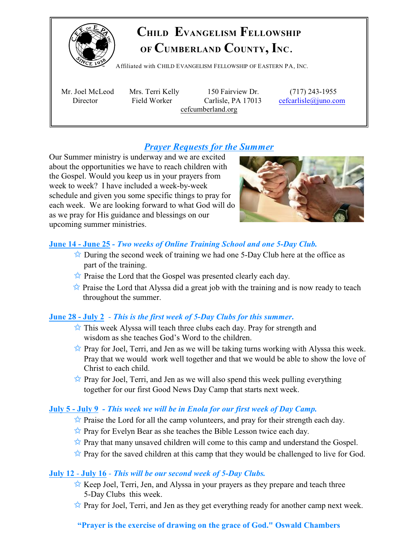

# **CHILD EVANGELISM FELLOWSHIP OF CUMBERLAND COUNTY, INC**.

Affiliated with <sup>C</sup>HILD <sup>E</sup>VANGELISM <sup>F</sup>ELLOWSHIP OF <sup>E</sup>ASTERN PA, <sup>I</sup>NC.

 Mr. Joel McLeod Mrs. Terri Kelly 150 Fairview Dr. (717) 243-1955 Director Field Worker Carlisle, PA 17013 [cefcarlisle@juno.com](mailto:cefcarlisle@juno.com) cefcumberland.org

## *Prayer Requests for the Summer*

Our Summer ministry is underway and we are excited about the opportunities we have to reach children with the Gospel. Would you keep us in your prayers from week to week? I have included a week-by-week schedule and given you some specific things to pray for each week. We are looking forward to what God will do as we pray for His guidance and blessings on our upcoming summer ministries.



## **June 14 - June 25** *- Two weeks of Online Training School and one 5-Day Club.*

- $\sqrt{\ }$  During the second week of training we had one 5-Day Club here at the office as part of the training.
- $\hat{\mathbb{Z}}$  Praise the Lord that the Gospel was presented clearly each day.
- $\overrightarrow{\mathbf{x}}$  Praise the Lord that Alyssa did a great job with the training and is now ready to teach throughout the summer.

## **June 28 - July 2** - *This is the first week of 5-Day Clubs for this summer***.**

- $\hat{\mathbb{X}}$  This week Alyssa will teach three clubs each day. Pray for strength and wisdom as she teaches God's Word to the children.
- $\overrightarrow{\mathbf{x}}$  Pray for Joel, Terri, and Jen as we will be taking turns working with Alyssa this week. Pray that we would work well together and that we would be able to show the love of Christ to each child.
- $\overrightarrow{\mathbf{x}}$  Pray for Joel, Terri, and Jen as we will also spend this week pulling everything together for our first Good News Day Camp that starts next week.

## **July 5 - July 9** *- This week we will be in Enola for our first week of Day Camp.*

- $\hat{\mathbb{Z}}$  Praise the Lord for all the camp volunteers, and pray for their strength each day.
- $\hat{\mathbb{Z}}$  Pray for Evelyn Bear as she teaches the Bible Lesson twice each day.
- $\overrightarrow{\mathbf{x}}$  Pray that many unsaved children will come to this camp and understand the Gospel.
- $\hat{\mathbb{Z}}$  Pray for the saved children at this camp that they would be challenged to live for God.

### **July 12** - **July 16** - *This will be our second week of 5-Day Clubs.*

- $\overrightarrow{\mathbf{x}}$  Keep Joel, Terri, Jen, and Alyssa in your prayers as they prepare and teach three 5-Day Clubs this week.
- $\overrightarrow{x}$  Pray for Joel, Terri, and Jen as they get everything ready for another camp next week.

## **"Prayer is the exercise of drawing on the grace of God." Oswald Chambers**